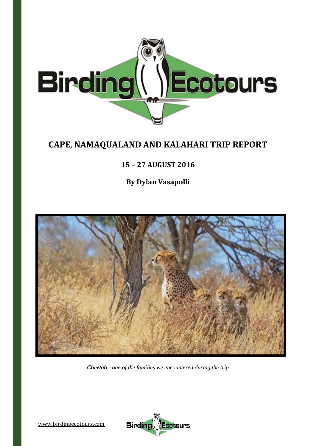

# **CAPE**, **NAMAQUALAND AND KALAHARI TRIP REPORT**

# **15 – 27 AUGUST 2016**

**By Dylan Vasapolli**



*Cheetah - one of the families we encountered during the trip*

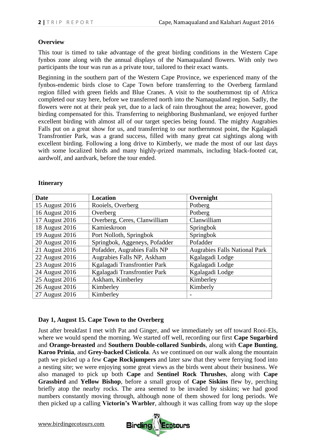# **Overview**

This tour is timed to take advantage of the great birding conditions in the Western Cape fynbos zone along with the annual displays of the Namaqualand flowers. With only two participants the tour was run as a private tour, tailored to their exact wants.

Beginning in the southern part of the Western Cape Province, we experienced many of the fynbos-endemic birds close to Cape Town before transferring to the Overberg farmland region filled with green fields and Blue Cranes. A visit to the southernmost tip of Africa completed our stay here, before we transferred north into the Namaqualand region. Sadly, the flowers were not at their peak yet, due to a lack of rain throughout the area; however, good birding compensated for this. Transferring to neighboring Bushmanland, we enjoyed further excellent birding with almost all of our target species being found. The mighty Augrabies Falls put on a great show for us, and transferring to our northernmost point, the Kgalagadi Transfrontier Park, was a grand success, filled with many great cat sightings along with excellent birding. Following a long drive to Kimberly, we made the most of our last days with some localized birds and many highly-prized mammals, including black-footed cat, aardwolf, and aardvark, before the tour ended.

#### **Itinerary**

| <b>Date</b>    | <b>Location</b>               | Overnight                            |
|----------------|-------------------------------|--------------------------------------|
| 15 August 2016 | Rooiels, Overberg             | Potberg                              |
| 16 August 2016 | Overberg                      | Potberg                              |
| 17 August 2016 | Overberg, Ceres, Clanwilliam  | Clanwilliam                          |
| 18 August 2016 | Kamieskroon                   | Springbok                            |
| 19 August 2016 | Port Nolloth, Springbok       | Springbok                            |
| 20 August 2016 | Springbok, Aggeneys, Pofadder | Pofadder                             |
| 21 August 2016 | Pofadder, Augrabies Falls NP  | <b>Augrabies Falls National Park</b> |
| 22 August 2016 | Augrabies Falls NP, Askham    | Kgalagadi Lodge                      |
| 23 August 2016 | Kgalagadi Transfrontier Park  | Kgalagadi Lodge                      |
| 24 August 2016 | Kgalagadi Transfrontier Park  | Kgalagadi Lodge                      |
| 25 August 2016 | Askham, Kimberley             | Kimberley                            |
| 26 August 2016 | Kimberley                     | Kimberly                             |
| 27 August 2016 | Kimberley                     |                                      |

# **Day 1, August 15. Cape Town to the Overberg**

Just after breakfast I met with Pat and Ginger, and we immediately set off toward Rooi-Els, where we would spend the morning. We started off well, recording our first **Cape Sugarbird** and **Orange-breasted** and **Southern Double-collared Sunbirds**, along with **Cape Bunting**, **Karoo Prinia**, and **Grey-backed Cisticola**. As we continued on our walk along the mountain path we picked up a few **Cape Rockjumpers** and later saw that they were ferrying food into a nesting site; we were enjoying some great views as the birds went about their business. We also managed to pick up both **Cape** and **Sentinel Rock Thrushes**, along with **Cape Grassbird** and **Yellow Bishop**, before a small group of **Cape Siskins** flew by, perching briefly atop the nearby rocks. The area seemed to be invaded by siskins; we had good numbers constantly moving through, although none of them showed for long periods. We then picked up a calling **Victorin's Warbler**, although it was calling from way up the slope

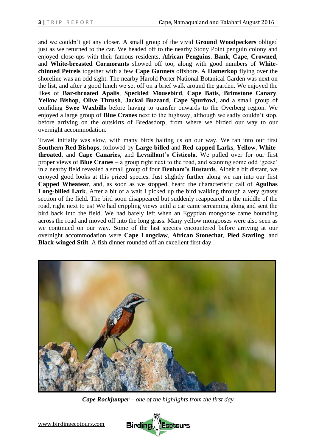and we couldn't get any closer. A small group of the vivid **Ground Woodpeckers** obliged just as we returned to the car. We headed off to the nearby Stony Point penguin colony and enjoyed close-ups with their famous residents, **African Penguins**. **Bank**, **Cape**, **Crowned**, and **White-breasted Cormorants** showed off too, along with good numbers of **Whitechinned Petrels** together with a few **Cape Gannets** offshore. A **Hamerkop** flying over the shoreline was an odd sight. The nearby Harold Porter National Botanical Garden was next on the list, and after a good lunch we set off on a brief walk around the garden. We enjoyed the likes of **Bar-throated Apalis**, **Speckled Mousebird**, **Cape Batis**, **Brimstone Canary**, **Yellow Bishop**, **Olive Thrush**, **Jackal Buzzard**, **Cape Spurfowl**, and a small group of confiding **Swee Waxbills** before having to transfer onwards to the Overberg region. We enjoyed a large group of **Blue Cranes** next to the highway, although we sadly couldn't stop, before arriving on the outskirts of Bredasdorp, from where we birded our way to our overnight accommodation.

Travel initially was slow, with many birds halting us on our way. We ran into our first **Southern Red Bishops**, followed by **Large-billed** and **Red-capped Larks**, **Yellow**, **Whitethroated**, and **Cape Canaries**, and **Levaillant's Cisticola**. We pulled over for our first proper views of **Blue Cranes** – a group right next to the road, and scanning some odd 'geese' in a nearby field revealed a small group of four **Denham's Bustards**. Albeit a bit distant, we enjoyed good looks at this prized species. Just slightly further along we ran into our first **Capped Wheatear**, and, as soon as we stopped, heard the characteristic call of **Agulhas Long-billed Lark**. After a bit of a wait I picked up the bird walking through a very grassy section of the field. The bird soon disappeared but suddenly reappeared in the middle of the road, right next to us! We had crippling views until a car came screaming along and sent the bird back into the field. We had barely left when an Egyptian mongoose came bounding across the road and moved off into the long grass. Many yellow mongooses were also seen as we continued on our way. Some of the last species encountered before arriving at our overnight accommodation were **Cape Longclaw**, **African Stonechat**, **Pied Starling**, and **Black-winged Stilt**. A fish dinner rounded off an excellent first day.



*Cape Rockjumper – one of the highlights from the first day*

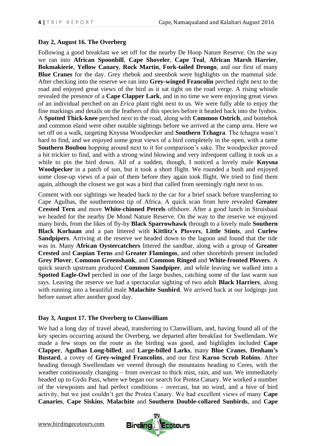# **Day 2, August 16. The Overberg**

Following a good breakfast we set off for the nearby De Hoop Nature Reserve. On the way we ran into **African Spoonbill**, **Cape Shoveler**, **Cape Teal**, **African Marsh Harrier**, **Bokmakierie**, **Yellow Canary**, **Rock Martin**, **Fork-tailed Drongo**, and our first of many **Blue Cranes** for the day. Grey rhebok and steenbok were highlights on the mammal side. After checking into the reserve we ran into **Grey-winged Francolin** perched right next to the road and enjoyed great views of the bird as it sat tight on the road verge. A rising whistle revealed the presence of a **Cape Clapper Lark**, and in no time we were enjoying great views of an individual perched on an *Erica* plant right next to us. We were fully able to enjoy the fine markings and details on the feathers of this species before it headed back into the fynbos. A **Spotted Thick-knee** perched next to the road, along with **Common Ostrich**, and bontebok and common eland were other notable sightings before we arrived at the camp area. Here we set off on a walk, targeting Knysna Woodpecker and **Southern Tchagra**. The tchagra wasn't hard to find, and we enjoyed some great views of a bird completely in the open, with a tame **Southern Boubou** hopping around next to it for comparison's sake. The woodpecker proved a bit trickier to find, and with a strong wind blowing and very infrequent calling it took us a while to pin the bird down. All of a sudden, though, I noticed a lovely male **Knysna Woodpecker** in a patch of sun, but it took a short flight. We rounded a bush and enjoyed some close-up views of a pair of them before they again took flight. We tried to find them again, although the closest we got was a bird that called from seemingly right next to us.

Content with our sightings we headed back to the car for a brief snack before transferring to Cape Agulhas, the southernmost tip of Africa. A quick scan from here revealed **Greater Crested Tern** and more **White-chinned Petrels** offshore. After a good lunch in Struisbaai we headed for the nearby De Mond Nature Reserve. On the way to the reserve we enjoyed many birds, from the likes of fly-by **Black Sparrowhawk** through to a lovely male **Southern Black Korhaan** and a pan littered with **Kittlitz's Plovers**, **Little Stints**, and **Curlew Sandpipers**. Arriving at the reserve we headed down to the lagoon and found that the tide was in. Many **African Oystercatchers** littered the sandbar, along with a group of **Greater Crested** and **Caspian Terns** and **Greater Flamingos**, and other shorebirds present included **Grey Plover**, **Common Greenshank**, and **Common Ringed** and **White-fronted Plovers**. A quick search upstream produced **Common Sandpiper**, and while leaving we walked into a **Spotted Eagle-Owl** perched in one of the large bushes, catching some of the last warm sun rays. Leaving the reserve we had a spectacular sighting of two adult **Black Harriers**, along with running into a beautiful male **Malachite Sunbird**. We arrived back at our lodgings just before sunset after another good day.

# **Day 3, August 17. The Overberg to Clanwilliam**

We had a long day of travel ahead, transferring to Clanwilliam, and, having found all of the key species occurring around the Overberg, we departed after breakfast for Swellendam. We made a few stops on the route as the birding was good, and highlights included **Cape Clapper**, **Agulhas Long-billed**, and **Large-billed Larks**, many **Blue Cranes**, **Denham's Bustard**, a covey of **Grey-winged Francolins**, and our first **Karoo Scrub Robins**. After heading through Swellendam we veered through the mountains heading to Ceres, with the weather continuously changing – from overcast to thick mist, rain, and sun. We immediately headed up to Gydo Pass, where we began our search for Protea Canary. We worked a number of the viewpoints and had perfect conditions – overcast, but no wind, and a hive of bird activity, but we just couldn't get the Protea Canary. We had excellent views of many **Cape Canaries**, **Cape Siskins**, **Malachite** and **Southern Double-collared Sunbirds**, and **Cape** 

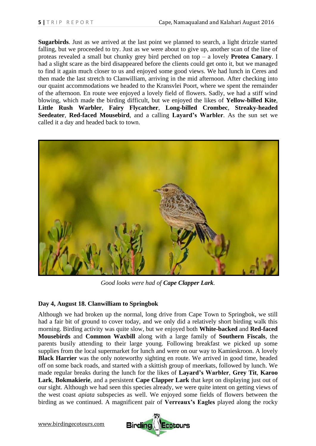**Sugarbirds**. Just as we arrived at the last point we planned to search, a light drizzle started falling, but we proceeded to try. Just as we were about to give up, another scan of the line of proteas revealed a small but chunky grey bird perched on top – a lovely **Protea Canary**. I had a slight scare as the bird disappeared before the clients could get onto it, but we managed to find it again much closer to us and enjoyed some good views. We had lunch in Ceres and then made the last stretch to Clanwilliam, arriving in the mid afternoon. After checking into our quaint accommodations we headed to the Kransvlei Poort, where we spent the remainder of the afternoon. En route wee enjoyed a lovely field of flowers. Sadly, we had a stiff wind blowing, which made the birding difficult, but we enjoyed the likes of **Yellow-billed Kite**, **Little Rush Warbler**, **Fairy Flycatcher**, **Long-billed Crombec**, **Streaky-headed Seedeater**, **Red-faced Mousebird**, and a calling **Layard's Warbler**. As the sun set we called it a day and headed back to town.



*Good looks were had of Cape Clapper Lark.*

# **Day 4, August 18. Clanwilliam to Springbok**

Although we had broken up the normal, long drive from Cape Town to Springbok, we still had a fair bit of ground to cover today, and we only did a relatively short birding walk this morning. Birding activity was quite slow, but we enjoyed both **White-backed** and **Red-faced Mousebirds** and **Common Waxbill** along with a large family of **Southern Fiscals**, the parents busily attending to their large young. Following breakfast we picked up some supplies from the local supermarket for lunch and were on our way to Kamieskroon. A lovely **Black Harrier** was the only noteworthy sighting en route. We arrived in good time, headed off on some back roads, and started with a skittish group of meerkats, followed by lunch. We made regular breaks during the lunch for the likes of **Layard's Warbler**, **Grey Tit**, **Karoo Lark**, **Bokmakierie**, and a persistent **Cape Clapper Lark** that kept on displaying just out of our sight. Although we had seen this species already, we were quite intent on getting views of the west coast *apiata* subspecies as well. We enjoyed some fields of flowers between the birding as we continued. A magnificent pair of **Verreaux's Eagles** played along the rocky

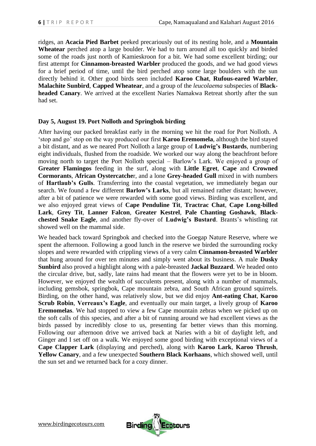ridges, an **Acacia Pied Barbet** peeked precariously out of its nesting hole, and a **Mountain Wheatear** perched atop a large boulder. We had to turn around all too quickly and birded some of the roads just north of Kamieskroon for a bit. We had some excellent birding; our first attempt for **Cinnamon-breasted Warbler** produced the goods, and we had good views for a brief period of time, until the bird perched atop some large boulders with the sun directly behind it. Other good birds seen included **Karoo Chat**, **Rufous-eared Warbler**, **Malachite Sunbird**, **Capped Wheatear**, and a group of the *leucolaema* subspecies of **Blackheaded Canary**. We arrived at the excellent Naries Namakwa Retreat shortly after the sun had set.

#### **Day 5, August 19. Port Nolloth and Springbok birding**

After having our packed breakfast early in the morning we hit the road for Port Nolloth. A 'stop and go' stop on the way produced our first **Karoo Eremomela**, although the bird stayed a bit distant, and as we neared Port Nolloth a large group of **Ludwig's Bustards**, numbering eight individuals, flushed from the roadside. We worked our way along the beachfront before moving north to target the Port Nolloth special – Barlow's Lark. We enjoyed a group of **Greater Flamingos** feeding in the surf, along with **Little Egret**, **Cape** and **Crowned Cormorants**, **African Oystercatche**r, and a lone **Grey-headed Gull** mixed in with numbers of **Hartlaub's Gulls**. Transferring into the coastal vegetation, we immediately began our search. We found a few different **Barlow's Larks**, but all remained rather distant; however, after a bit of patience we were rewarded with some good views. Birding was excellent, and we also enjoyed great views of **Cape Penduline Tit**, **Tractrac Chat**, **Cape Long-billed Lark**, **Grey Tit**, **Lanner Falcon**, **Greater Kestrel**, **Pale Chanting Goshawk**, **Blackchested Snake Eagle**, and another fly-over of **Ludwig's Bustard**. Brants's whistling rat showed well on the mammal side.

We headed back toward Springbok and checked into the Goegap Nature Reserve, where we spent the afternoon. Following a good lunch in the reserve we birded the surrounding rocky slopes and were rewarded with crippling views of a very calm **Cinnamon-breasted Warbler** that hung around for over ten minutes and simply went about its business. A male **Dusky Sunbird** also proved a highlight along with a pale-breasted **Jackal Buzzard**. We headed onto the circular drive, but, sadly, late rains had meant that the flowers were yet to be in bloom. However, we enjoyed the wealth of succulents present, along with a number of mammals, including gemsbok, springbok, Cape mountain zebra, and South African ground squirrels. Birding, on the other hand, was relatively slow, but we did enjoy **Ant-eating Chat**, **Karoo Scrub Robin**, **Verreaux's Eagle**, and eventually our main target, a lively group of **Karoo Eremomelas**. We had stopped to view a few Cape mountain zebras when we picked up on the soft calls of this species, and after a bit of running around we had excellent views as the birds passed by incredibly close to us, presenting far better views than this morning. Following our afternoon drive we arrived back at Naries with a bit of daylight left, and Ginger and I set off on a walk. We enjoyed some good birding with exceptional views of a **Cape Clapper Lark** (displaying and perched), along with **Karoo Lark**, **Karoo Thrush**, **Yellow Canary**, and a few unexpected **Southern Black Korhaans**, which showed well, until the sun set and we returned back for a cozy dinner.

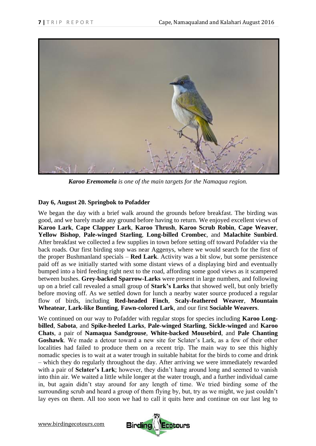

*Karoo Eremomela is one of the main targets for the Namaqua region.*

# **Day 6, August 20. Springbok to Pofadder**

We began the day with a brief walk around the grounds before breakfast. The birding was good, and we barely made any ground before having to return. We enjoyed excellent views of **Karoo Lark**, **Cape Clapper Lark**, **Karoo Thrush**, **Karoo Scrub Robin**, **Cape Weaver**, **Yellow Bishop**, **Pale-winged Starling**, **Long-billed Crombec**, and **Malachite Sunbird**. After breakfast we collected a few supplies in town before setting off toward Pofadder via the back roads. Our first birding stop was near Aggenys, where we would search for the first of the proper Bushmanland specials – **Red Lark**. Activity was a bit slow, but some persistence paid off as we initially started with some distant views of a displaying bird and eventually bumped into a bird feeding right next to the road, affording some good views as it scampered between bushes. **Grey-backed Sparrow-Larks** were present in large numbers, and following up on a brief call revealed a small group of **Stark's Larks** that showed well, but only briefly before moving off. As we settled down for lunch a nearby water source produced a regular flow of birds, including **Red-headed Finch**, **Scaly-feathered Weaver**, **Mountain Wheatear**, **Lark-like Bunting**, **Fawn-colored Lark**, and our first **Sociable Weavers**.

We continued on our way to Pofadder with regular stops for species including **Karoo Longbilled**, **Sabota**, and **Spike-heeled Larks**, **Pale-winged Starling**, **Sickle-winged** and **Karoo Chats**, a pair of **Namaqua Sandgrouse**, **White-backed Mousebird**, and **Pale Chanting Goshawk**. We made a detour toward a new site for Sclater's Lark, as a few of their other localities had failed to produce them on a recent trip. The main way to see this highly nomadic species is to wait at a water trough in suitable habitat for the birds to come and drink – which they do regularly throughout the day. After arriving we were immediately rewarded with a pair of **Sclater's Lark**; however, they didn't hang around long and seemed to vanish into thin air. We waited a little while longer at the water trough, and a further individual came in, but again didn't stay around for any length of time. We tried birding some of the surrounding scrub and heard a group of them flying by, but, try as we might, we just couldn't lay eyes on them. All too soon we had to call it quits here and continue on our last leg to

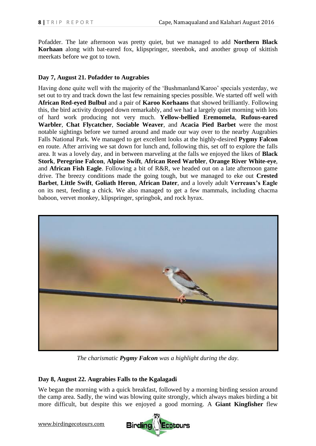Pofadder. The late afternoon was pretty quiet, but we managed to add **Northern Black Korhaan** along with bat-eared fox, klipspringer, steenbok, and another group of skittish meerkats before we got to town.

# **Day 7, August 21. Pofadder to Augrabies**

Having done quite well with the majority of the 'Bushmanland/Karoo' specials yesterday, we set out to try and track down the last few remaining species possible. We started off well with **African Red-eyed Bulbul** and a pair of **Karoo Korhaans** that showed brilliantly. Following this, the bird activity dropped down remarkably, and we had a largely quiet morning with lots of hard work producing not very much. **Yellow-bellied Eremomela**, **Rufous-eared Warbler**, **Chat Flycatcher**, **Sociable Weaver**, and **Acacia Pied Barbet** were the most notable sightings before we turned around and made our way over to the nearby Augrabies Falls National Park. We managed to get excellent looks at the highly-desired **Pygmy Falcon** en route. After arriving we sat down for lunch and, following this, set off to explore the falls area. It was a lovely day, and in between marveling at the falls we enjoyed the likes of **Black Stork**, **Peregrine Falcon**, **Alpine Swift**, **African Reed Warbler**, **Orange River White-eye**, and **African Fish Eagle**. Following a bit of R&R, we headed out on a late afternoon game drive. The breezy conditions made the going tough, but we managed to eke out **Crested Barbet**, **Little Swift**, **Goliath Heron**, **African Dater**, and a lovely adult **Verreaux's Eagle** on its nest, feeding a chick. We also managed to get a few mammals, including chacma baboon, vervet monkey, klipspringer, springbok, and rock hyrax.



*The charismatic Pygmy Falcon was a highlight during the day.*

# **Day 8, August 22. Augrabies Falls to the Kgalagadi**

We began the morning with a quick breakfast, followed by a morning birding session around the camp area. Sadly, the wind was blowing quite strongly, which always makes birding a bit more difficult, but despite this we enjoyed a good morning. A **Giant Kingfisher** flew

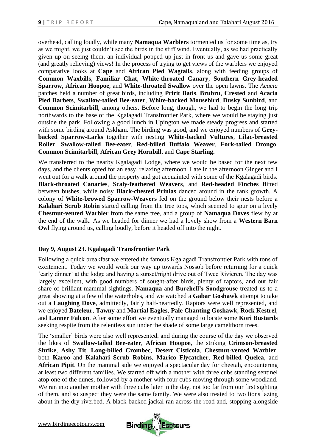overhead, calling loudly, while many **Namaqua Warblers** tormented us for some time as, try as we might, we just couldn't see the birds in the stiff wind. Eventually, as we had practically given up on seeing them, an individual popped up just in front us and gave us some great (and greatly relieving) views! In the process of trying to get views of the warblers we enjoyed comparative looks at **Cape** and **African Pied Wagtails**, along with feeding groups of **Common Waxbills**, **Familiar Chat**, **White-throated Canary**, **Southern Grey-headed Sparrow**, **African Hoopoe**, and **White-throated Swallow** over the open lawns. The *Acacia* patches held a number of great birds, including **Pririt Batis**, **Brubru**, **Crested** and **Acacia Pied Barbets**, **Swallow-tailed Bee-eater**, **White-backed Mousebird**, **Dusky Sunbird**, and **Common Scimitarbill**, among others. Before long, though, we had to begin the long trip northwards to the base of the Kgalagadi Transfrontier Park, where we would be staying just outside the park. Following a good lunch in Upington we made steady progress and started with some birding around Askham. The birding was good, and we enjoyed numbers of **Greybacked Sparrow-Larks** together with nesting **White-backed Vultures**, **Lilac-breasted Roller**, **Swallow-tailed Bee-eater**, **Red-billed Buffalo Weaver**, **Fork-tailed Drongo**, **Common Scimitarbill**, **African Grey Hornbill**, and **Cape Starling.**

We transferred to the nearby Kgalagadi Lodge, where we would be based for the next few days, and the clients opted for an easy, relaxing afternoon. Late in the afternoon Ginger and I went out for a walk around the property and got acquainted with some of the Kgalagadi birds. **Black-throated Canaries**, **Scaly-feathered Weavers**, and **Red-headed Finches** flitted between bushes, while noisy **Black-chested Prinias** danced around in the rank growth. A colony of **White-browed Sparrow-Weavers** fed on the ground below their nests before a **Kalahari Scrub Robin** started calling from the tree tops, which seemed to spur on a lively **Chestnut-vented Warbler** from the same tree, and a group of **Namaqua Doves** flew by at the end of the walk. As we headed for dinner we had a lovely show from a **Western Barn Owl** flying around us, calling loudly, before it headed off into the night.

# **Day 9, August 23. Kgalagadi Transfrontier Park**

Following a quick breakfast we entered the famous Kgalagadi Transfrontier Park with tons of excitement. Today we would work our way up towards Nossob before returning for a quick 'early dinner' at the lodge and having a sunset/night drive out of Twee Rivieren. The day was largely excellent, with good numbers of sought-after birds, plenty of raptors, and our fair share of brilliant mammal sightings. **Namaqua** and **Burchell's Sandgrouse** treated us to a great showing at a few of the waterholes, and we watched a **Gabar Goshawk** attempt to take out a **Laughing Dove**, admittedly, fairly half-heartedly. Raptors were well represented, and we enjoyed **Bateleur**, **Tawny** and **Martial Eagles**, **Pale Chanting Goshawk**, **Rock Kestrel**, and **Lanner Falcon**. After some effort we eventually managed to locate some **Kori Bustards**  seeking respite from the relentless sun under the shade of some large camelthorn trees.

The 'smaller' birds were also well represented, and during the course of the day we observed the likes of **Swallow-tailed Bee-eater**, **African Hoopoe**, the striking **Crimson-breasted Shrike**, **Ashy Tit**, **Long-billed Crombec**, **Desert Cisticola**, **Chestnut-vented Warbler**, both **Karoo** and **Kalahari Scrub Robins**, **Marico Flycatcher**, **Red-billed Quelea**, and **African Pipit**. On the mammal side we enjoyed a spectacular day for cheetah, encountering at least two different families. We started off with a mother with three cubs standing sentinel atop one of the dunes, followed by a mother with four cubs moving through some woodland. We ran into another mother with three cubs later in the day, not too far from our first sighting of them, and so suspect they were the same family. We were also treated to two lions lazing about in the dry riverbed. A black-backed jackal ran across the road and, stopping alongside

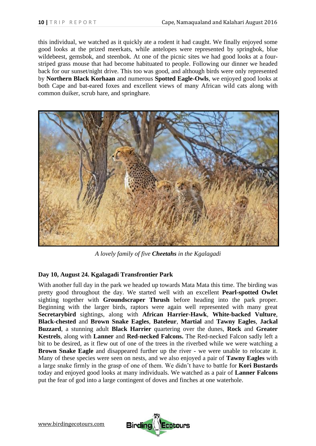this individual, we watched as it quickly ate a rodent it had caught. We finally enjoyed some good looks at the prized meerkats, while antelopes were represented by springbok, blue wildebeest, gemsbok, and steenbok. At one of the picnic sites we had good looks at a fourstriped grass mouse that had become habituated to people. Following our dinner we headed back for our sunset/night drive. This too was good, and although birds were only represented by **Northern Black Korhaan** and numerous **Spotted Eagle-Owls**, we enjoyed good looks at both Cape and bat-eared foxes and excellent views of many African wild cats along with common duiker, scrub hare, and springhare.



*A lovely family of five Cheetahs in the Kgalagadi*

# **Day 10, August 24. Kgalagadi Transfrontier Park**

With another full day in the park we headed up towards Mata Mata this time. The birding was pretty good throughout the day. We started well with an excellent **Pearl-spotted Owlet**  sighting together with **Groundscraper Thrush** before heading into the park proper. Beginning with the larger birds, raptors were again well represented with many great **Secretarybird** sightings, along with **African Harrier-Hawk**, **White-backed Vulture**, **Black-chested** and **Brown Snake Eagles**, **Bateleur**, **Martial** and **Tawny Eagles**, **Jackal Buzzard**, a stunning adult **Black Harrier** quartering over the dunes, **Rock** and **Greater Kestrels**, along with **Lanner** and **Red-necked Falcons.** The Red-necked Falcon sadly left a bit to be desired, as it flew out of one of the trees in the riverbed while we were watching a **Brown Snake Eagle** and disappeared further up the river - we were unable to relocate it. Many of these species were seen on nests, and we also enjoyed a pair of **Tawny Eagles** with a large snake firmly in the grasp of one of them. We didn't have to battle for **Kori Bustards** today and enjoyed good looks at many individuals. We watched as a pair of **Lanner Falcons**  put the fear of god into a large contingent of doves and finches at one waterhole.

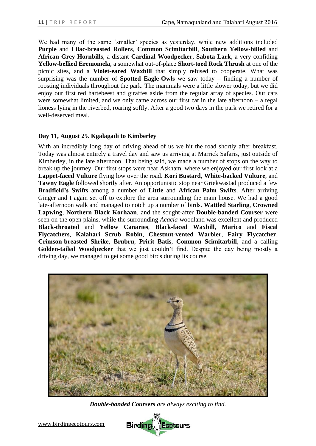We had many of the same 'smaller' species as yesterday, while new additions included **Purple** and **Lilac-breasted Rollers**, **Common Scimitarbill**, **Southern Yellow-billed** and **African Grey Hornbills**, a distant **Cardinal Woodpecker**, **Sabota Lark**, a very confiding **Yellow-bellied Eremomela**, a somewhat out-of-place **Short-toed Rock Thrush** at one of the picnic sites, and a **Violet-eared Waxbill** that simply refused to cooperate. What was surprising was the number of **Spotted Eagle-Owls** we saw today – finding a number of roosting individuals throughout the park. The mammals were a little slower today, but we did enjoy our first red hartebeest and giraffes aside from the regular array of species. Our cats were somewhat limited, and we only came across our first cat in the late afternoon – a regal lioness lying in the riverbed, roaring softly. After a good two days in the park we retired for a well-deserved meal.

#### **Day 11, August 25. Kgalagadi to Kimberley**

With an incredibly long day of driving ahead of us we hit the road shortly after breakfast. Today was almost entirely a travel day and saw us arriving at Marrick Safaris, just outside of Kimberley, in the late afternoon. That being said, we made a number of stops on the way to break up the journey. Our first stops were near Askham, where we enjoyed our first look at a **Lappet-faced Vulture** flying low over the road. **Kori Bustard**, **White-backed Vulture**, and **Tawny Eagle** followed shortly after. An opportunistic stop near Griekwastad produced a few **Bradfield's Swifts** among a number of **Little** and **African Palm Swifts**. After arriving Ginger and I again set off to explore the area surrounding the main house. We had a good late-afternoon walk and managed to notch up a number of birds. **Wattled Starling**, **Crowned Lapwing**, **Northern Black Korhaan**, and the sought-after **Double-banded Courser** were seen on the open plains, while the surrounding *Acacia* woodland was excellent and produced **Black-throated** and **Yellow Canaries**, **Black-faced Waxbill**, **Marico** and **Fiscal Flycatchers**, **Kalahari Scrub Robin**, **Chestnut-vented Warbler**, **Fairy Flycatcher**, **Crimson-breasted Shrike**, **Brubru**, **Pririt Batis**, **Common Scimitarbill**, and a calling **Golden-tailed Woodpecker** that we just couldn't find. Despite the day being mostly a driving day, we managed to get some good birds during its course.



*Double-banded Coursers are always exciting to find.*

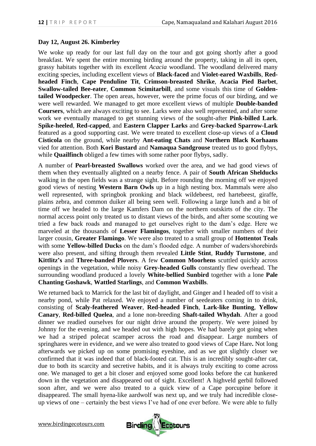# **Day 12, August 26. Kimberley**

We woke up ready for our last full day on the tour and got going shortly after a good breakfast. We spent the entire morning birding around the property, taking in all its open, grassy habitats together with its excellent *Acacia* woodland. The woodland delivered many exciting species, including excellent views of **Black-faced** and **Violet-eared Waxbills**, **Redheaded Finch**, **Cape Penduline Tit**, **Crimson-breasted Shrike**, **Acacia Pied Barbet**, **Swallow-tailed Bee-eater**, **Common Scimitarbill**, and some visuals this time of **Goldentailed Woodpecker**. The open areas, however, were the prime focus of our birding, and we were well rewarded. We managed to get more excellent views of multiple **Double-banded Coursers**, which are always exciting to see. Larks were also well represented, and after some work we eventually managed to get stunning views of the sought-after **Pink-billed Lark**. **Spike-heeled**, **Red-capped**, and **Eastern Clapper Larks** and **Grey-backed Sparrow-Lark** featured as a good supporting cast. We were treated to excellent close-up views of a **Cloud Cisticola** on the ground, while nearby **Ant-eating Chats** and **Northern Black Korhaans** vied for attention. Both **Kori Bustard** and **Namaqua Sandgrouse** treated us to good flybys, while **Quailfinch** obliged a few times with some rather poor flybys, sadly.

A number of **Pearl-breasted Swallows** worked over the area, and we had good views of them when they eventually alighted on a nearby fence. A pair of **South African Shelducks** walking in the open fields was a strange sight. Before rounding the morning off we enjoyed good views of nesting **Western Barn Owls** up in a high nesting box. Mammals were also well represented, with springbok pronking and black wildebeest, red hartebeest, giraffe, plains zebra, and common duiker all being seen well. Following a large lunch and a bit of time off we headed to the large Kamfers Dam on the northern outskirts of the city. The normal access point only treated us to distant views of the birds, and after some scouting we tried a few back roads and managed to get ourselves right to the dam's edge. Here we marveled at the thousands of **Lesser Flamingos**, together with smaller numbers of their larger cousin, **Greater Flamingo**. We were also treated to a small group of **Hottentot Teals** with some **Yellow-billed Ducks** on the dam's flooded edge. A number of waders/shorebirds were also present, and sifting through them revealed **Little Stint**, **Ruddy Turnstone**, and **Kittlitz's** and **Three-banded Plovers**. A few **Common Moorhens** scuttled quickly across openings in the vegetation, while noisy **Grey-headed Gulls** constantly flew overhead. The surrounding woodland produced a lovely **White-bellied Sunbird** together with a lone **Pale Chanting Goshawk**, **Wattled Starlings**, and **Common Waxbills**.

We returned back to Marrick for the last bit of daylight, and Ginger and I headed off to visit a nearby pond, while Pat relaxed. We enjoyed a number of seedeaters coming in to drink, consisting of **Scaly-feathered Weaver**, **Red-headed Finch**, **Lark-like Bunting**, **Yellow Canary**, **Red-billed Quelea**, and a lone non-breeding **Shaft-tailed Whydah**. After a good dinner we readied ourselves for our night drive around the property. We were joined by Johnny for the evening, and we headed out with high hopes. We had barely got going when we had a striped polecat scamper across the road and disappear. Large numbers of springhares were in evidence, and we were also treated to good views of Cape Hare**.** Not long afterwards we picked up on some promising eyeshine, and as we got slightly closer we confirmed that it was indeed that of black-footed cat. This is an incredibly sought-after cat, due to both its scarcity and secretive habits, and it is always truly exciting to come across one. We managed to get a bit closer and enjoyed some good looks before the cat hunkered down in the vegetation and disappeared out of sight. Excellent! A highveld gerbil followed soon after, and we were also treated to a quick view of a Cape porcupine before it disappeared. The small hyena-like aardwolf was next up, and we truly had incredible closeup views of one – certainly the best views I've had of one ever before. We were able to fully

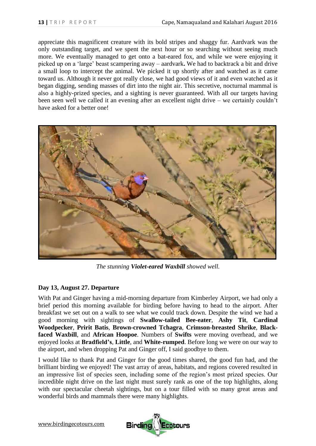appreciate this magnificent creature with its bold stripes and shaggy fur. Aardvark was the only outstanding target, and we spent the next hour or so searching without seeing much more. We eventually managed to get onto a bat-eared fox, and while we were enjoying it picked up on a 'large' beast scampering away – aardvark**.** We had to backtrack a bit and drive a small loop to intercept the animal. We picked it up shortly after and watched as it came toward us. Although it never got really close, we had good views of it and even watched as it began digging, sending masses of dirt into the night air. This secretive, nocturnal mammal is also a highly-prized species, and a sighting is never guaranteed. With all our targets having been seen well we called it an evening after an excellent night drive – we certainly couldn't have asked for a better one!



*The stunning Violet-eared Waxbill showed well.*

# **Day 13, August 27. Departure**

With Pat and Ginger having a mid-morning departure from Kimberley Airport, we had only a brief period this morning available for birding before having to head to the airport. After breakfast we set out on a walk to see what we could track down. Despite the wind we had a good morning with sightings of **Swallow-tailed Bee-eater**, **Ashy Tit**, **Cardinal Woodpecker**, **Pririt Batis**, **Brown-crowned Tchagra**, **Crimson-breasted Shrike**, **Blackfaced Waxbill**, and **African Hoopoe**. Numbers of **Swifts** were moving overhead, and we enjoyed looks at **Bradfield's**, **Little**, and **White-rumped**. Before long we were on our way to the airport, and when dropping Pat and Ginger off, I said goodbye to them.

I would like to thank Pat and Ginger for the good times shared, the good fun had, and the brilliant birding we enjoyed! The vast array of areas, habitats, and regions covered resulted in an impressive list of species seen, including some of the region's most prized species. Our incredible night drive on the last night must surely rank as one of the top highlights, along with our spectacular cheetah sightings, but on a tour filled with so many great areas and wonderful birds and mammals there were many highlights.

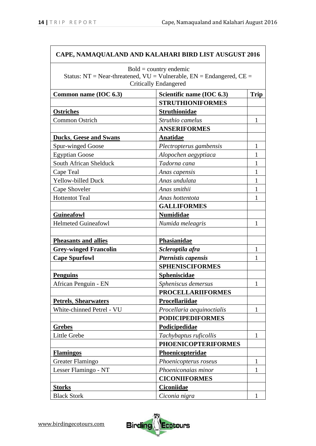|                               | CAPE, NAMAQUALAND AND KALAHARI BIRD LIST AUSGUST 2016                                                  |              |
|-------------------------------|--------------------------------------------------------------------------------------------------------|--------------|
|                               | $Bold = country$ endemic<br>Status: NT = Near-threatened, $VU =$ Vulnerable, $EN =$ Endangered, $CE =$ |              |
|                               | <b>Critically Endangered</b>                                                                           |              |
| Common name (IOC 6.3)         | Scientific name (IOC 6.3)                                                                              | <b>Trip</b>  |
|                               | <b>STRUTHIONIFORMES</b>                                                                                |              |
| <b>Ostriches</b>              | <b>Struthionidae</b>                                                                                   |              |
| <b>Common Ostrich</b>         | Struthio camelus                                                                                       | 1            |
|                               | <b>ANSERIFORMES</b>                                                                                    |              |
| <b>Ducks, Geese and Swans</b> | Anatidae                                                                                               |              |
| Spur-winged Goose             | Plectropterus gambensis                                                                                | 1            |
| <b>Egyptian Goose</b>         | Alopochen aegyptiaca                                                                                   | 1            |
| South African Shelduck        | Tadorna cana                                                                                           |              |
| Cape Teal                     | Anas capensis                                                                                          | 1            |
| <b>Yellow-billed Duck</b>     | Anas undulata                                                                                          | 1            |
| Cape Shoveler                 | Anas smithii                                                                                           | 1            |
| <b>Hottentot Teal</b>         | Anas hottentota                                                                                        |              |
|                               | <b>GALLIFORMES</b>                                                                                     |              |
| <b>Guineafowl</b>             | <b>Numididae</b>                                                                                       |              |
| <b>Helmeted Guineafowl</b>    | Numida meleagris                                                                                       | 1            |
|                               |                                                                                                        |              |
| <b>Pheasants and allies</b>   | Phasianidae                                                                                            |              |
| <b>Grey-winged Francolin</b>  | Scleroptila afra                                                                                       | 1            |
| <b>Cape Spurfowl</b>          | Pternistis capensis                                                                                    | L            |
|                               | <b>SPHENISCIFORMES</b>                                                                                 |              |
| <b>Penguins</b>               | Spheniscidae                                                                                           |              |
| African Penguin - EN          | Spheniscus demersus                                                                                    |              |
|                               | <b>PROCELLARIIFORMES</b>                                                                               |              |
| <b>Petrels, Shearwaters</b>   | Procellariidae                                                                                         |              |
| White-chinned Petrel - VU     | Procellaria aequinoctialis                                                                             | $\mathbf{1}$ |
|                               | <b>PODICIPEDIFORMES</b>                                                                                |              |
| <b>Grebes</b>                 | Podicipedidae                                                                                          |              |
| Little Grebe                  | Tachybaptus ruficollis                                                                                 | $\mathbf{1}$ |
|                               | <b>PHOENICOPTERIFORMES</b>                                                                             |              |
| <b>Flamingos</b>              | Phoenicopteridae                                                                                       |              |
| <b>Greater Flamingo</b>       | Phoenicopterus roseus                                                                                  | 1            |
| Lesser Flamingo - NT          | Phoeniconaias minor                                                                                    | 1            |
|                               | <b>CICONIIFORMES</b>                                                                                   |              |
| <b>Storks</b>                 | <b>Ciconiidae</b>                                                                                      |              |
| <b>Black Stork</b>            | Ciconia nigra                                                                                          | $\mathbf{1}$ |

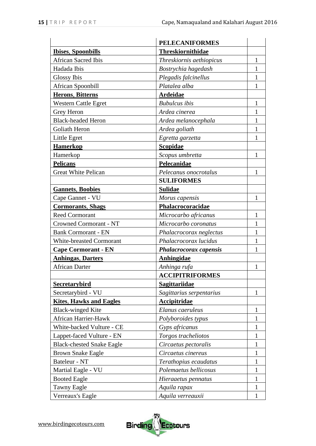|                                  | <b>PELECANIFORMES</b>    |              |
|----------------------------------|--------------------------|--------------|
| <b>Ibises, Spoonbills</b>        | Threskiornithidae        |              |
| <b>African Sacred Ibis</b>       | Threskiornis aethiopicus | 1            |
| Hadada Ibis                      | Bostrychia hagedash      | $\mathbf{1}$ |
| <b>Glossy Ibis</b>               | Plegadis falcinellus     | 1            |
| African Spoonbill                | Platalea alba            | 1            |
| <b>Herons, Bitterns</b>          | <b>Ardeidae</b>          |              |
| <b>Western Cattle Egret</b>      | <b>Bubulcus</b> ibis     | $\mathbf{1}$ |
| Grey Heron                       | Ardea cinerea            | 1            |
| <b>Black-headed Heron</b>        | Ardea melanocephala      | $\mathbf{1}$ |
| Goliath Heron                    | Ardea goliath            | $\mathbf{1}$ |
| Little Egret                     | Egretta garzetta         | 1            |
| <b>Hamerkop</b>                  | Scopidae                 |              |
| Hamerkop                         | Scopus umbretta          | $\mathbf{1}$ |
| <b>Pelicans</b>                  | Pelecanidae              |              |
| <b>Great White Pelican</b>       | Pelecanus onocrotalus    | 1            |
|                                  | <b>SULIFORMES</b>        |              |
| <b>Gannets, Boobies</b>          | <b>Sulidae</b>           |              |
| Cape Gannet - VU                 | Morus capensis           | 1            |
| <b>Cormorants, Shags</b>         | Phalacrocoracidae        |              |
| <b>Reed Cormorant</b>            | Microcarbo africanus     | $\mathbf{1}$ |
| <b>Crowned Cormorant - NT</b>    | Microcarbo coronatus     | 1            |
| <b>Bank Cormorant - EN</b>       | Phalacrocorax neglectus  | 1            |
| <b>White-breasted Cormorant</b>  | Phalacrocorax lucidus    | $\mathbf 1$  |
| <b>Cape Cormorant - EN</b>       | Phalacrocorax capensis   | 1            |
| <b>Anhingas, Darters</b>         | Anhingidae               |              |
| <b>African Darter</b>            | Anhinga rufa             | $\mathbf 1$  |
|                                  | <b>ACCIPITRIFORMES</b>   |              |
| Secretarybird                    | <b>Sagittariidae</b>     |              |
| Secretarybird - VU               | Sagittarius serpentarius | 1            |
| <b>Kites, Hawks and Eagles</b>   | <b>Accipitridae</b>      |              |
| <b>Black-winged Kite</b>         | Elanus caeruleus         | $\mathbf{1}$ |
| <b>African Harrier-Hawk</b>      | Polyboroides typus       | 1            |
| White-backed Vulture - CE        | Gyps africanus           | 1            |
| Lappet-faced Vulture - EN        | Torgos tracheliotos      | $\mathbf{1}$ |
| <b>Black-chested Snake Eagle</b> | Circaetus pectoralis     | 1            |
| <b>Brown Snake Eagle</b>         | Circaetus cinereus       | 1            |
| Bateleur - NT                    | Terathopius ecaudatus    | 1            |
| Martial Eagle - VU               | Polemaetus bellicosus    | $\mathbf{1}$ |
| <b>Booted Eagle</b>              | Hieraaetus pennatus      | 1            |
| <b>Tawny Eagle</b>               | Aquila rapax             | 1            |
| Verreaux's Eagle                 | Aquila verreauxii        | $\mathbf{1}$ |

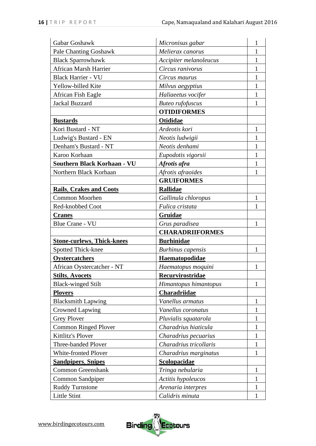| Gabar Goshawk                     | Micronisus gabar         | 1            |
|-----------------------------------|--------------------------|--------------|
| <b>Pale Chanting Goshawk</b>      | Melierax canorus         |              |
| <b>Black Sparrowhawk</b>          | Accipiter melanoleucus   | 1            |
| <b>African Marsh Harrier</b>      | Circus ranivorus         | 1            |
| <b>Black Harrier - VU</b>         | Circus maurus            | 1            |
| Yellow-billed Kite                | Milvus aegyptius         |              |
| African Fish Eagle                | Haliaeetus vocifer       | 1            |
| <b>Jackal Buzzard</b>             | <b>Buteo</b> rufofuscus  | 1            |
|                                   | <b>OTIDIFORMES</b>       |              |
| <b>Bustards</b>                   | <b>Otididae</b>          |              |
| Kori Bustard - NT                 | Ardeotis kori            | $\mathbf{1}$ |
| Ludwig's Bustard - EN             | Neotis ludwigii          | 1            |
| Denham's Bustard - NT             | Neotis denhami           | 1            |
| Karoo Korhaan                     | Eupodotis vigorsii       | 1            |
| Southern Black Korhaan - VU       | Afrotis afra             | 1            |
| Northern Black Korhaan            | Afrotis afraoides        | 1            |
|                                   | <b>GRUIFORMES</b>        |              |
| <b>Rails, Crakes and Coots</b>    | <b>Rallidae</b>          |              |
| Common Moorhen                    | Gallinula chloropus      | 1            |
| Red-knobbed Coot                  | Fulica cristata          | 1            |
| <b>Cranes</b>                     | Gruidae                  |              |
| <b>Blue Crane - VU</b>            | Grus paradisea           | 1            |
|                                   | <b>CHARADRIIFORMES</b>   |              |
| <b>Stone-curlews, Thick-knees</b> | <b>Burhinidae</b>        |              |
| <b>Spotted Thick-knee</b>         | <b>Burhinus</b> capensis | 1            |
| Oystercatchers                    | Haematopodidae           |              |
| African Oystercatcher - NT        | Haematopus moquini       | $\mathbf{1}$ |
| <b>Stilts, Avocets</b>            | Recurvirostridae         |              |
| <b>Black-winged Stilt</b>         | Himantopus himantopus    | 1            |
| <b>Plovers</b>                    | <b>Charadriidae</b>      |              |
| <b>Blacksmith Lapwing</b>         | Vanellus armatus         | $\mathbf{1}$ |
| <b>Crowned Lapwing</b>            | Vanellus coronatus       | 1            |
| <b>Grey Plover</b>                | Pluvialis squatarola     | T            |
| <b>Common Ringed Plover</b>       | Charadrius hiaticula     | 1            |
| Kittlitz's Plover                 | Charadrius pecuarius     | $\mathbf{1}$ |
| Three-banded Plover               | Charadrius tricollaris   | 1            |
| <b>White-fronted Plover</b>       | Charadrius marginatus    | $\mathbf{1}$ |
| <b>Sandpipers, Snipes</b>         | Scolopacidae             |              |
| <b>Common Greenshank</b>          | Tringa nebularia         | 1            |
| Common Sandpiper                  | Actitis hypoleucos       | $\mathbf{1}$ |
| <b>Ruddy Turnstone</b>            | Arenaria interpres       | 1            |
| <b>Little Stint</b>               | Calidris minuta          | $\mathbf{1}$ |

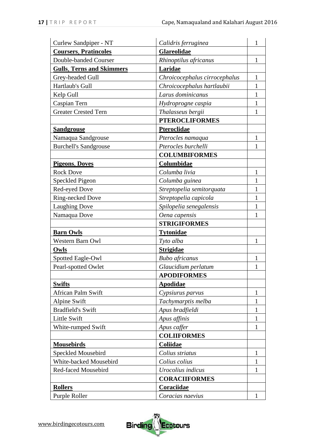| Curlew Sandpiper - NT            | Calidris ferruginea           | 1            |
|----------------------------------|-------------------------------|--------------|
| <b>Coursers, Pratincoles</b>     | Glareolidae                   |              |
| Double-banded Courser            | Rhinoptilus africanus         | 1            |
| <b>Gulls, Terns and Skimmers</b> | Laridae                       |              |
| Grey-headed Gull                 | Chroicocephalus cirrocephalus | 1            |
| Hartlaub's Gull                  | Chroicocephalus hartlaubii    | 1            |
| Kelp Gull                        | Larus dominicanus             | $\mathbf{1}$ |
| Caspian Tern                     | Hydroprogne caspia            | $\mathbf{1}$ |
| <b>Greater Crested Tern</b>      | Thalasseus bergii             | 1            |
|                                  | <b>PTEROCLIFORMES</b>         |              |
| <b>Sandgrouse</b>                | Pteroclidae                   |              |
| Namaqua Sandgrouse               | Pterocles namaqua             | 1            |
| <b>Burchell's Sandgrouse</b>     | Pterocles burchelli           | 1            |
|                                  | <b>COLUMBIFORMES</b>          |              |
| <b>Pigeons, Doves</b>            | Columbidae                    |              |
| <b>Rock Dove</b>                 | Columba livia                 | 1            |
| Speckled Pigeon                  | Columba guinea                | 1            |
| Red-eyed Dove                    | Streptopelia semitorquata     | 1            |
| Ring-necked Dove                 | Streptopelia capicola         | 1            |
| <b>Laughing Dove</b>             | Spilopelia senegalensis       | $\mathbf{1}$ |
| Namaqua Dove                     | Oena capensis                 | 1            |
|                                  | <b>STRIGIFORMES</b>           |              |
| <b>Barn Owls</b>                 | <b>Tytonidae</b>              |              |
| Western Barn Owl                 | Tyto alba                     | $\mathbf{1}$ |
| Owls                             | <b>Strigidae</b>              |              |
| Spotted Eagle-Owl                | <b>Bubo</b> africanus         | 1            |
| Pearl-spotted Owlet              | Glaucidium perlatum           | 1            |
|                                  | <b>APODIFORMES</b>            |              |
| <b>Swifts</b>                    | <b>Apodidae</b>               |              |
| <b>African Palm Swift</b>        | Cypsiurus parvus              | 1            |
| <b>Alpine Swift</b>              | Tachymarptis melba            | $\mathbf{1}$ |
| <b>Bradfield's Swift</b>         | Apus bradfieldi               | $\mathbf{1}$ |
| <b>Little Swift</b>              | Apus affinis                  | 1            |
| White-rumped Swift               | Apus caffer                   | $\mathbf{1}$ |
|                                  | <b>COLIIFORMES</b>            |              |
| <b>Mousebirds</b>                | Coliidae                      |              |
| Speckled Mousebird               | Colius striatus               | $\mathbf{1}$ |
| White-backed Mousebird           | Colius colius                 | 1            |
| Red-faced Mousebird              | Urocolius indicus             | 1            |
|                                  | <b>CORACIIFORMES</b>          |              |
| <b>Rollers</b>                   | Coraciidae                    |              |
| Purple Roller                    | Coracias naevius              | 1            |

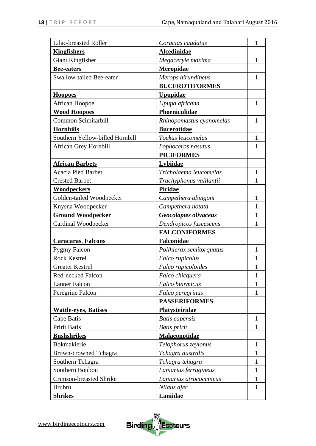| Lilac-breasted Roller           | Coracias caudatus        | 1            |
|---------------------------------|--------------------------|--------------|
| <b>Kingfishers</b>              | Alcedinidae              |              |
| Giant Kingfisher                | Megaceryle maxima        | $\mathbf{1}$ |
| <b>Bee-eaters</b>               | Meropidae                |              |
| Swallow-tailed Bee-eater        | Merops hirundineus       | 1            |
|                                 | <b>BUCEROTIFORMES</b>    |              |
| <b>Hoopoes</b>                  | <b>Upupidae</b>          |              |
| <b>African Hoopoe</b>           | Upupa africana           | $\mathbf{1}$ |
| <b>Wood Hoopoes</b>             | Phoeniculidae            |              |
| Common Scimitarbill             | Rhinopomastus cyanomelas | $\mathbf{1}$ |
| <b>Hornbills</b>                | <b>Bucerotidae</b>       |              |
| Southern Yellow-billed Hornbill | Tockus leucomelas        | 1            |
| <b>African Grey Hornbill</b>    | Lophoceros nasutus       | 1            |
|                                 | <b>PICIFORMES</b>        |              |
| <b>African Barbets</b>          | Lybiidae                 |              |
| <b>Acacia Pied Barbet</b>       | Tricholaema leucomelas   | 1            |
| <b>Crested Barbet</b>           | Trachyphonus vaillantii  | $\mathbf{1}$ |
| <b>Woodpeckers</b>              | Picidae                  |              |
| Golden-tailed Woodpecker        | Campethera abingoni      | 1            |
| Knysna Woodpecker               | Campethera notata        | 1            |
| <b>Ground Woodpecker</b>        | Geocolaptes olivaceus    | 1            |
| Cardinal Woodpecker             | Dendropicos fuscescens   | 1            |
|                                 | <b>FALCONIFORMES</b>     |              |
| <b>Caracaras, Falcons</b>       | Falconidae               |              |
| <b>Pygmy Falcon</b>             | Polihierax semitorquatus | $\mathbf{1}$ |
| <b>Rock Kestrel</b>             | Falco rupicolus          | 1            |
| <b>Greater Kestrel</b>          | Falco rupicoloides       | 1            |
| Red-necked Falcon               | Falco chicquera          | $\mathbf 1$  |
| <b>Lanner Falcon</b>            | Falco biarmicus          | 1            |
| Peregrine Falcon                | Falco peregrinus         | $\mathbf{1}$ |
|                                 | <b>PASSERIFORMES</b>     |              |
| <b>Wattle-eyes, Batises</b>     | Platysteiridae           |              |
| Cape Batis                      | <b>Batis</b> capensis    | 1            |
| Pririt Batis                    | <b>Batis</b> pririt      | 1            |
| <b>Bushshrikes</b>              | Malaconotidae            |              |
| Bokmakierie                     | Telophorus zeylonus      | 1            |
| <b>Brown-crowned Tchagra</b>    | Tchagra australis        | $\mathbf{1}$ |
| Southern Tchagra                | Tchagra tchagra          | 1            |
| Southern Boubou                 | Laniarius ferrugineus    | 1            |
| <b>Crimson-breasted Shrike</b>  | Laniarius atrococcineus  | 1            |
| <b>Brubru</b>                   | Nilaus afer              | $\mathbf{1}$ |
| <b>Shrikes</b>                  | Laniidae                 |              |

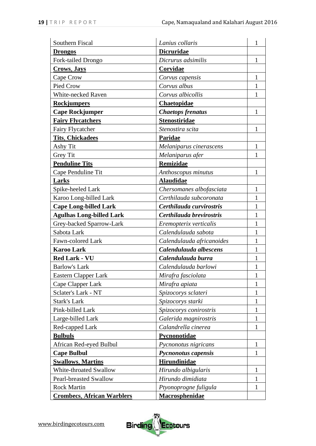| Southern Fiscal                   | Lanius collaris            | 1            |
|-----------------------------------|----------------------------|--------------|
| <b>Drongos</b>                    | <b>Dicruridae</b>          |              |
| Fork-tailed Drongo                | Dicrurus adsimilis         | $\mathbf{1}$ |
| Crows, Jays                       | Corvidae                   |              |
| Cape Crow                         | Corvus capensis            | 1            |
| Pied Crow                         | Corvus albus               |              |
| White-necked Raven                | Corvus albicollis          | 1            |
| <b>Rockjumpers</b>                | Chaetopidae                |              |
| <b>Cape Rockjumper</b>            | <b>Chaetops frenatus</b>   | 1            |
| <b>Fairy Flycatchers</b>          | <b>Stenostiridae</b>       |              |
| Fairy Flycatcher                  | Stenostira scita           | $\mathbf{1}$ |
| <b>Tits, Chickadees</b>           | Paridae                    |              |
| Ashy Tit                          | Melaniparus cinerascens    | $\mathbf{1}$ |
| <b>Grey Tit</b>                   | Melaniparus afer           | 1            |
| <b>Penduline Tits</b>             | Remizidae                  |              |
| Cape Penduline Tit                | Anthoscopus minutus        | 1            |
| Larks                             | <b>Alaudidae</b>           |              |
| Spike-heeled Lark                 | Chersomanes albofasciata   | $\mathbf{1}$ |
| Karoo Long-billed Lark            | Certhilauda subcoronata    |              |
| <b>Cape Long-billed Lark</b>      | Certhilauda curvirostris   |              |
| <b>Agulhas Long-billed Lark</b>   | Certhilauda brevirostris   | 1            |
| Grey-backed Sparrow-Lark          | Eremopterix verticalis     |              |
| Sabota Lark                       | Calendulauda sabota        | 1            |
| Fawn-colored Lark                 | Calendulauda africanoides  | 1            |
| <b>Karoo Lark</b>                 | Calendulauda albescens     | 1            |
| <b>Red Lark - VU</b>              | Calendulauda burra         | 1            |
| <b>Barlow's Lark</b>              | Calendulauda barlowi       | 1            |
| Eastern Clapper Lark              | Mirafra fasciolata         | $\mathbf{1}$ |
| Cape Clapper Lark                 | Mirafra apiata             | 1            |
| Sclater's Lark - NT               | Spizocorys sclateri        | 1            |
| <b>Stark's Lark</b>               | Spizocorys starki          | $\mathbf{1}$ |
| Pink-billed Lark                  | Spizocorys conirostris     | 1            |
| Large-billed Lark                 | Galerida magnirostris      | 1            |
| Red-capped Lark                   | Calandrella cinerea        | $\mathbf{1}$ |
| <b>Bulbuls</b>                    | Pycnonotidae               |              |
| African Red-eyed Bulbul           | Pycnonotus nigricans       | 1            |
| <b>Cape Bulbul</b>                | <b>Pycnonotus capensis</b> | $\mathbf{1}$ |
| <b>Swallows, Martins</b>          | Hirundinidae               |              |
| White-throated Swallow            | Hirundo albigularis        | 1            |
| <b>Pearl-breasted Swallow</b>     | Hirundo dimidiata          | $\mathbf{1}$ |
| <b>Rock Martin</b>                | Ptyonoprogne fuligula      | 1            |
| <b>Crombecs, African Warblers</b> | <b>Macrosphenidae</b>      |              |

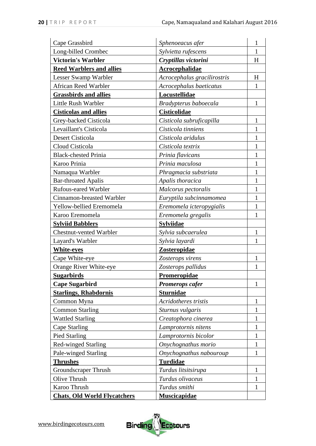| Cape Grassbird                      | Sphenoeacus afer            | 1            |
|-------------------------------------|-----------------------------|--------------|
| Long-billed Crombec                 | Sylvietta rufescens         | 1            |
| <b>Victorin's Warbler</b>           | Cryptillas victorini        | H            |
| <b>Reed Warblers and allies</b>     | <b>Acrocephalidae</b>       |              |
| <b>Lesser Swamp Warbler</b>         | Acrocephalus gracilirostris | H            |
| African Reed Warbler                | Acrocephalus baeticatus     | 1            |
| <b>Grassbirds and allies</b>        | Locustellidae               |              |
| Little Rush Warbler                 | Bradypterus baboecala       | $\mathbf{1}$ |
| <b>Cisticolas and allies</b>        | <b>Cisticolidae</b>         |              |
| Grey-backed Cisticola               | Cisticola subruficapilla    | $\mathbf{1}$ |
| Levaillant's Cisticola              | Cisticola tinniens          | 1            |
| Desert Cisticola                    | Cisticola aridulus          | 1            |
| Cloud Cisticola                     | Cisticola textrix           | 1            |
| <b>Black-chested Prinia</b>         | Prinia flavicans            | 1            |
| Karoo Prinia                        | Prinia maculosa             | 1            |
| Namaqua Warbler                     | Phragmacia substriata       |              |
| <b>Bar-throated Apalis</b>          | Apalis thoracica            | 1            |
| <b>Rufous-eared Warbler</b>         | Malcorus pectoralis         | 1            |
| Cinnamon-breasted Warbler           | Euryptila subcinnamomea     | 1            |
| Yellow-bellied Eremomela            | Eremomela icteropygialis    | 1            |
| Karoo Eremomela                     | Eremomela gregalis          | 1            |
| <b>Sylviid Babblers</b>             | <b>Sylviidae</b>            |              |
| <b>Chestnut-vented Warbler</b>      | Sylvia subcaerulea          | 1            |
| Layard's Warbler                    | Sylvia layardi              | 1            |
| <b>White-eyes</b>                   | <b>Zosteropidae</b>         |              |
| Cape White-eye                      | Zosterops virens            | 1            |
| Orange River White-eye              | Zosterops pallidus          | 1            |
| <u>Sugarbirds</u>                   | <b>Promeropidae</b>         |              |
| <b>Cape Sugarbird</b>               | <b>Promerops cafer</b>      | 1            |
| <b>Starlings, Rhabdornis</b>        | <b>Sturnidae</b>            |              |
| Common Myna                         | Acridotheres tristis        | 1            |
| <b>Common Starling</b>              | Sturnus vulgaris            | 1            |
| <b>Wattled Starling</b>             | Creatophora cinerea         | 1            |
| Cape Starling                       | Lamprotornis nitens         | 1            |
| <b>Pied Starling</b>                | Lamprotornis bicolor        | 1            |
| Red-winged Starling                 | Onychognathus morio         | 1            |
| Pale-winged Starling                | Onychognathus nabouroup     | $\mathbf{1}$ |
| <b>Thrushes</b>                     | <b>Turdidae</b>             |              |
| <b>Groundscraper Thrush</b>         | Turdus litsitsirupa         | $\mathbf{1}$ |
| Olive Thrush                        | Turdus olivaceus            | 1            |
| Karoo Thrush                        | Turdus smithi               | $\mathbf{1}$ |
| <b>Chats, Old World Flycatchers</b> | <b>Muscicapidae</b>         |              |

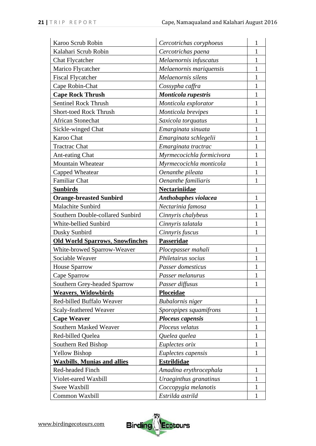| Karoo Scrub Robin                      | Cercotrichas coryphoeus   | 1            |
|----------------------------------------|---------------------------|--------------|
| Kalahari Scrub Robin                   | Cercotrichas paena        | 1            |
| <b>Chat Flycatcher</b>                 | Melaenornis infuscatus    | 1            |
| Marico Flycatcher                      | Melaenornis mariquensis   | 1            |
| <b>Fiscal Flycatcher</b>               | Melaenornis silens        | 1            |
| Cape Robin-Chat                        | Cossypha caffra           |              |
| <b>Cape Rock Thrush</b>                | Monticola rupestris       | 1            |
| <b>Sentinel Rock Thrush</b>            | Monticola explorator      |              |
| <b>Short-toed Rock Thrush</b>          | Monticola brevipes        | 1            |
| <b>African Stonechat</b>               | Saxicola torquatus        | 1            |
| Sickle-winged Chat                     | Emarginata sinuata        | 1            |
| Karoo Chat                             | Emarginata schlegelii     | 1            |
| <b>Tractrac Chat</b>                   | Emarginata tractrac       | 1            |
| <b>Ant-eating Chat</b>                 | Myrmecocichla formicivora | 1            |
| Mountain Wheatear                      | Myrmecocichla monticola   | 1            |
| Capped Wheatear                        | Oenanthe pileata          | 1            |
| <b>Familiar Chat</b>                   | Oenanthe familiaris       | 1            |
| <b>Sunbirds</b>                        | Nectariniidae             |              |
| <b>Orange-breasted Sunbird</b>         | Anthobaphes violacea      | 1            |
| Malachite Sunbird                      | Nectarinia famosa         | 1            |
| Southern Double-collared Sunbird       | Cinnyris chalybeus        | 1            |
| White-bellied Sunbird                  | Cinnyris talatala         | 1            |
| Dusky Sunbird                          | Cinnyris fuscus           | 1            |
| <b>Old World Sparrows, Snowfinches</b> | Passeridae                |              |
| White-browed Sparrow-Weaver            | Plocepasser mahali        | 1            |
| Sociable Weaver                        | Philetairus socius        | 1            |
| House Sparrow                          | Passer domesticus         | 1            |
| Cape Sparrow                           | Passer melanurus          | 1            |
| Southern Grey-headed Sparrow           | Passer diffusus           | 1            |
| <b>Weavers, Widowbirds</b>             | Ploceidae                 |              |
| Red-billed Buffalo Weaver              | <b>Bubalornis</b> niger   | $\mathbf{1}$ |
| Scaly-feathered Weaver                 | Sporopipes squamifrons    | 1            |
| <b>Cape Weaver</b>                     | <b>Ploceus capensis</b>   | 1            |
| Southern Masked Weaver                 | Ploceus velatus           | 1            |
| Red-billed Quelea                      | Quelea quelea             | 1            |
| Southern Red Bishop                    | Euplectes orix            | 1            |
| <b>Yellow Bishop</b>                   | Euplectes capensis        | $\mathbf{1}$ |
| <b>Waxbills, Munias and allies</b>     | <b>Estrildidae</b>        |              |
| Red-headed Finch                       | Amadina erythrocephala    | 1            |
| Violet-eared Waxbill                   | Uraeginthus granatinus    | 1            |
| Swee Waxbill                           | Coccopygia melanotis      | 1            |
| Common Waxbill                         | Estrilda astrild          | $\mathbf{1}$ |

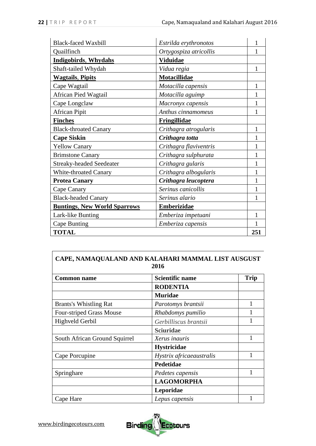| <b>Black-faced Waxbill</b>          | Estrilda erythronotos  |     |
|-------------------------------------|------------------------|-----|
| Quailfinch                          | Ortygospiza atricollis | 1   |
| <b>Indigobirds, Whydahs</b>         | <b>Viduidae</b>        |     |
| Shaft-tailed Whydah                 | Vidua regia            | 1   |
| <b>Wagtails</b> , Pipits            | <b>Motacillidae</b>    |     |
| Cape Wagtail                        | Motacilla capensis     | 1   |
| African Pied Wagtail                | Motacilla aguimp       |     |
| Cape Longclaw                       | Macronyx capensis      | 1   |
| <b>African Pipit</b>                | Anthus cinnamomeus     | 1   |
| <b>Finches</b>                      | <b>Fringillidae</b>    |     |
| <b>Black-throated Canary</b>        | Crithagra atrogularis  | 1   |
| <b>Cape Siskin</b>                  | Crithagra totta        |     |
| <b>Yellow Canary</b>                | Crithagra flaviventris | 1   |
| <b>Brimstone Canary</b>             | Crithagra sulphurata   | 1   |
| <b>Streaky-headed Seedeater</b>     | Crithagra gularis      | 1   |
| White-throated Canary               | Crithagra albogularis  | 1   |
| <b>Protea Canary</b>                | Crithagra leucoptera   |     |
| Cape Canary                         | Serinus canicollis     |     |
| <b>Black-headed Canary</b>          | Serinus alario         | 1   |
| <b>Buntings, New World Sparrows</b> | <b>Emberizidae</b>     |     |
| Lark-like Bunting                   | Emberiza impetuani     | 1   |
| Cape Bunting                        | Emberiza capensis      | 1   |
| <b>TOTAL</b>                        |                        | 251 |

# **CAPE, NAMAQUALAND AND KALAHARI MAMMAL LIST AUSGUST 2016**

| <b>Common name</b>              | <b>Scientific name</b>   | <b>Trip</b> |
|---------------------------------|--------------------------|-------------|
|                                 | <b>RODENTIA</b>          |             |
|                                 | <b>Muridae</b>           |             |
| <b>Brants's Whistling Rat</b>   | Parotomys brantsii       |             |
| <b>Four-striped Grass Mouse</b> | Rhabdomys pumilio        |             |
| Highveld Gerbil                 | Gerbilliscus brantsii    |             |
|                                 | <b>Sciuridae</b>         |             |
| South African Ground Squirrel   | Xerus inauris            |             |
|                                 | <b>Hystricidae</b>       |             |
| Cape Porcupine                  | Hystrix africaeaustralis |             |
|                                 | Pedetidae                |             |
| Springhare                      | Pedetes capensis         |             |
|                                 | <b>LAGOMORPHA</b>        |             |
|                                 | Leporidae                |             |
| Cape Hare                       | Lepus capensis           |             |

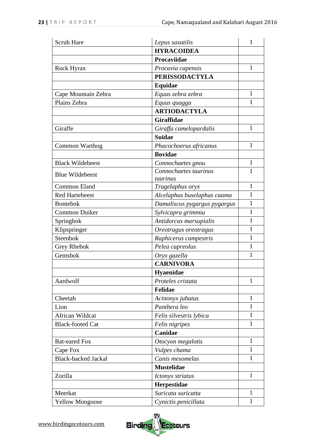| Scrub Hare                 | Lepus saxatilis              | 1            |
|----------------------------|------------------------------|--------------|
|                            | <b>HYRACOIDEA</b>            |              |
|                            | Procaviidae                  |              |
| Rock Hyrax                 | Procavia capensis            | $\mathbf{1}$ |
|                            | <b>PERISSODACTYLA</b>        |              |
|                            | <b>Equidae</b>               |              |
| Cape Mountain Zebra        | Equus zebra zebra            | $\mathbf{1}$ |
| Plains Zebra               | Equus quagga                 | $\mathbf{1}$ |
|                            | <b>ARTIODACTYLA</b>          |              |
|                            | Giraffidae                   |              |
| Giraffe                    | Giraffa camelopardalis       | $\mathbf{1}$ |
|                            | <b>Suidae</b>                |              |
| Common Warthog             | Phacochoerus africanus       | 1            |
|                            | <b>Bovidae</b>               |              |
| <b>Black Wildebeest</b>    | Connochaetes gnou            | $\mathbf{1}$ |
|                            | Connochaetes taurinus        | 1            |
| <b>Blue Wildebeest</b>     | taurinus                     |              |
| <b>Common Eland</b>        | Tragelaphus oryx             | 1            |
| <b>Red Hartebeest</b>      | Alcelaphus buselaphus caama  | $\mathbf{1}$ |
| <b>Bontebok</b>            | Damaliscus pygargus pygargus | $\mathbf{1}$ |
| <b>Common Duiker</b>       | Sylvicapra grimmia           | 1            |
| Springbok                  | Antidorcas marsupialis       | 1            |
| Klipspringer               | Oreotragus oreotragus        | $\mathbf{1}$ |
| Steenbok                   | Raphicerus campestris        | $\mathbf{1}$ |
| Grey Rhebok                | Pelea capreolus              | 1            |
| Gemsbok                    | Oryx gazella                 | $\mathbf{1}$ |
|                            | <b>CARNIVORA</b>             |              |
|                            | Hyaenidae                    |              |
| Aardwolf                   | Proteles cristata            | 1            |
|                            | Felidae                      |              |
| Cheetah                    | Acinonyx jubatus             | $\mathbf{1}$ |
| Lion                       | Panthera leo                 | 1            |
| African Wildcat            | Felis silvestris lybica      | 1            |
| <b>Black-footed Cat</b>    | Felis nigripes               | 1            |
|                            | Canidae                      |              |
| <b>Bat-eared Fox</b>       | Otocyon megalotis            | $\mathbf{1}$ |
| Cape Fox                   | Vulpes chama                 | 1            |
| <b>Black-backed Jackal</b> | Canis mesomelas              | $\mathbf{1}$ |
|                            | <b>Mustelidae</b>            |              |
| Zorilla                    | Ictonyx striatus             | $\mathbf{1}$ |
|                            | Herpestidae                  |              |
| Meerkat                    | Suricata suricatta           | $\mathbf{1}$ |
| <b>Yellow Mongoose</b>     | Cynictis penicillata         | $\mathbf{1}$ |